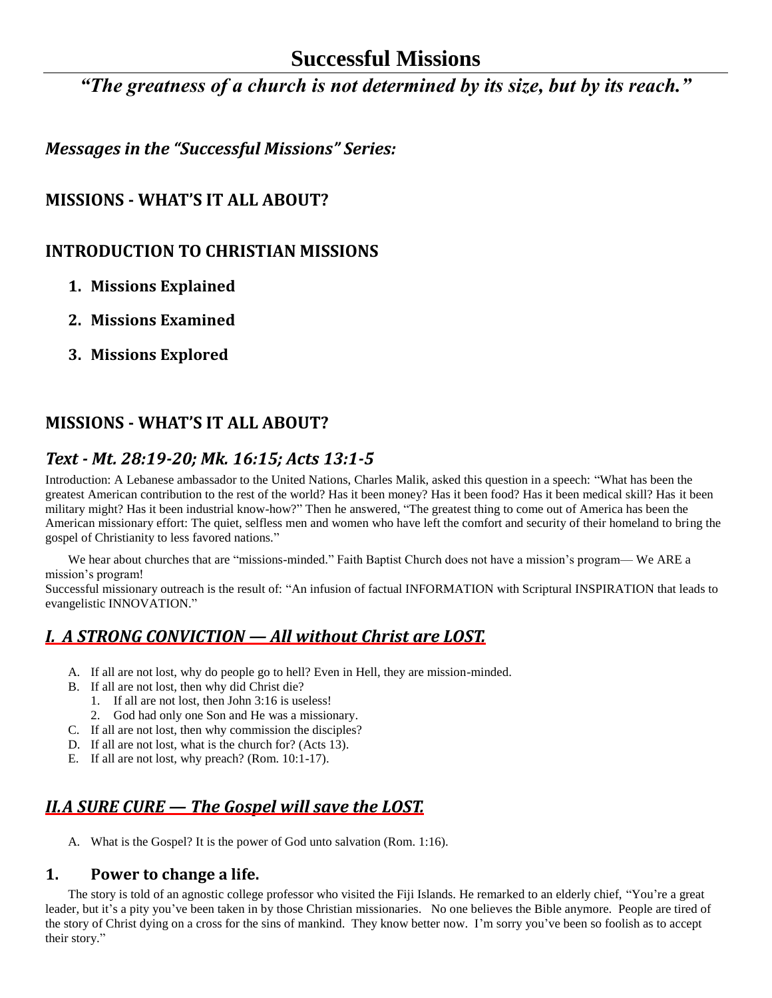# **Successful Missions**

*"The greatness of a church is not determined by its size, but by its reach."*

*Messages in the "Successful Missions" Series:*

## **MISSIONS - WHAT'S IT ALL ABOUT?**

## **INTRODUCTION TO CHRISTIAN MISSIONS**

- **1. Missions Explained**
- **2. Missions Examined**
- **3. Missions Explored**

# **MISSIONS - WHAT'S IT ALL ABOUT?**

## *Text - Mt. 28:19-20; Mk. 16:15; Acts 13:1-5*

Introduction: A Lebanese ambassador to the United Nations, Charles Malik, asked this question in a speech: "What has been the greatest American contribution to the rest of the world? Has it been money? Has it been food? Has it been medical skill? Has it been military might? Has it been industrial know-how?" Then he answered, "The greatest thing to come out of America has been the American missionary effort: The quiet, selfless men and women who have left the comfort and security of their homeland to bring the gospel of Christianity to less favored nations."

We hear about churches that are "missions-minded." Faith Baptist Church does not have a mission's program— We ARE a mission's program!

Successful missionary outreach is the result of: "An infusion of factual INFORMATION with Scriptural INSPIRATION that leads to evangelistic INNOVATION."

# *I. A STRONG CONVICTION — All without Christ are LOST.*

- A. If all are not lost, why do people go to hell? Even in Hell, they are mission-minded.
- B. If all are not lost, then why did Christ die?
	- 1. If all are not lost, then John 3:16 is useless!
	- 2. God had only one Son and He was a missionary.
- C. If all are not lost, then why commission the disciples?
- D. If all are not lost, what is the church for? (Acts 13).
- E. If all are not lost, why preach? (Rom. 10:1-17).

# *II.A SURE CURE — The Gospel will save the LOST.*

A. What is the Gospel? It is the power of God unto salvation (Rom. 1:16).

#### **1. Power to change a life.**

The story is told of an agnostic college professor who visited the Fiji Islands. He remarked to an elderly chief, "You're a great leader, but it's a pity you've been taken in by those Christian missionaries. No one believes the Bible anymore. People are tired of the story of Christ dying on a cross for the sins of mankind. They know better now. I'm sorry you've been so foolish as to accept their story."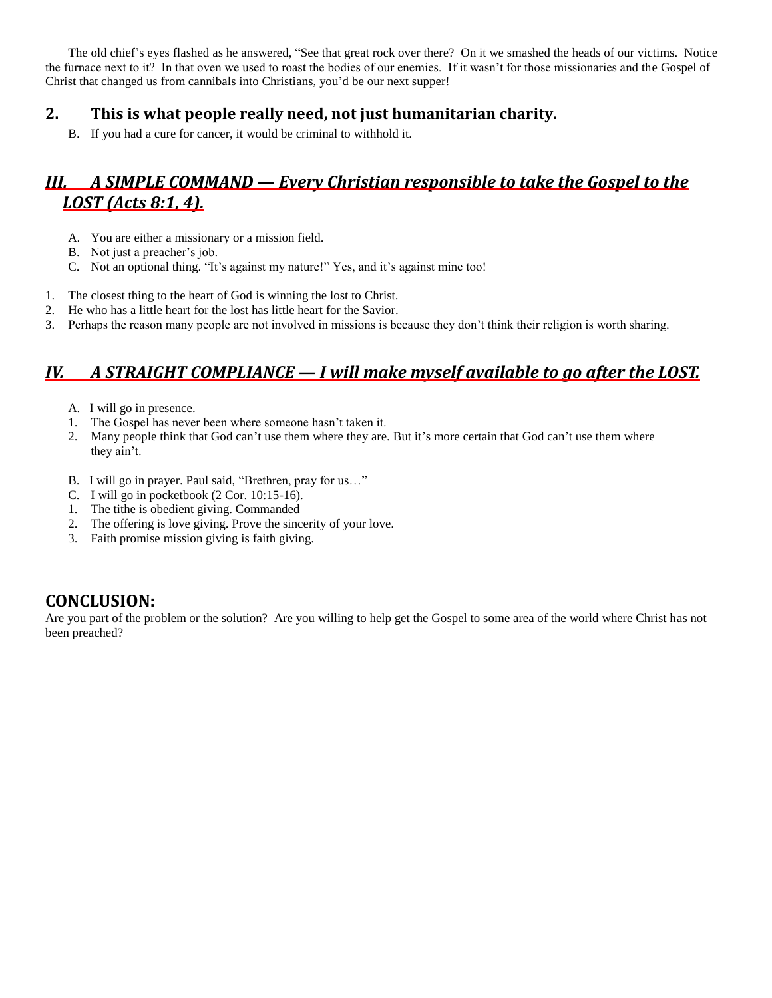The old chief's eyes flashed as he answered, "See that great rock over there? On it we smashed the heads of our victims. Notice the furnace next to it? In that oven we used to roast the bodies of our enemies. If it wasn't for those missionaries and the Gospel of Christ that changed us from cannibals into Christians, you'd be our next supper!

### **2. This is what people really need, not just humanitarian charity.**

B. If you had a cure for cancer, it would be criminal to withhold it.

# *III. A SIMPLE COMMAND — Every Christian responsible to take the Gospel to the LOST (Acts 8:1, 4).*

- A. You are either a missionary or a mission field.
- B. Not just a preacher's job.
- C. Not an optional thing. "It's against my nature!" Yes, and it's against mine too!
- 1. The closest thing to the heart of God is winning the lost to Christ.
- 2. He who has a little heart for the lost has little heart for the Savior.
- 3. Perhaps the reason many people are not involved in missions is because they don't think their religion is worth sharing.

# *IV. A STRAIGHT COMPLIANCE — I will make myself available to go after the LOST.*

- A. I will go in presence.
- 1. The Gospel has never been where someone hasn't taken it.
- 2. Many people think that God can't use them where they are. But it's more certain that God can't use them where they ain't.
- B. I will go in prayer. Paul said, "Brethren, pray for us…"
- C. I will go in pocketbook (2 Cor. 10:15-16).
- 1. The tithe is obedient giving. Commanded
- 2. The offering is love giving. Prove the sincerity of your love.
- 3. Faith promise mission giving is faith giving.

## **CONCLUSION:**

Are you part of the problem or the solution? Are you willing to help get the Gospel to some area of the world where Christ has not been preached?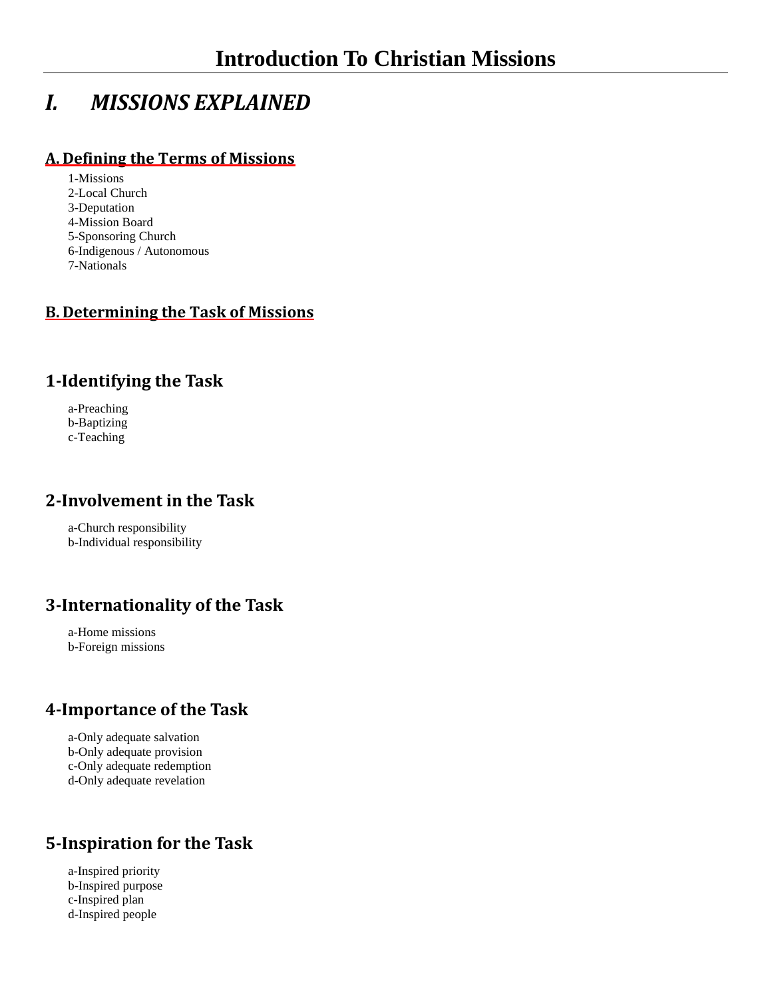# *I. MISSIONS EXPLAINED*

#### **A. Defining the Terms of Missions**

- 1-Missions 2-Local Church 3-Deputation 4-Mission Board
- 5-Sponsoring Church
- 6-Indigenous / Autonomous
- 7-Nationals

#### **B. Determining the Task of Missions**

### **1-Identifying the Task**

a-Preaching b-Baptizing c-Teaching

### **2-Involvement in the Task**

a-Church responsibility b-Individual responsibility

## **3-Internationality of the Task**

a-Home missions b-Foreign missions

### **4-Importance of the Task**

a-Only adequate salvation b-Only adequate provision c-Only adequate redemption d-Only adequate revelation

## **5-Inspiration for the Task**

a-Inspired priority b-Inspired purpose c-Inspired plan d-Inspired people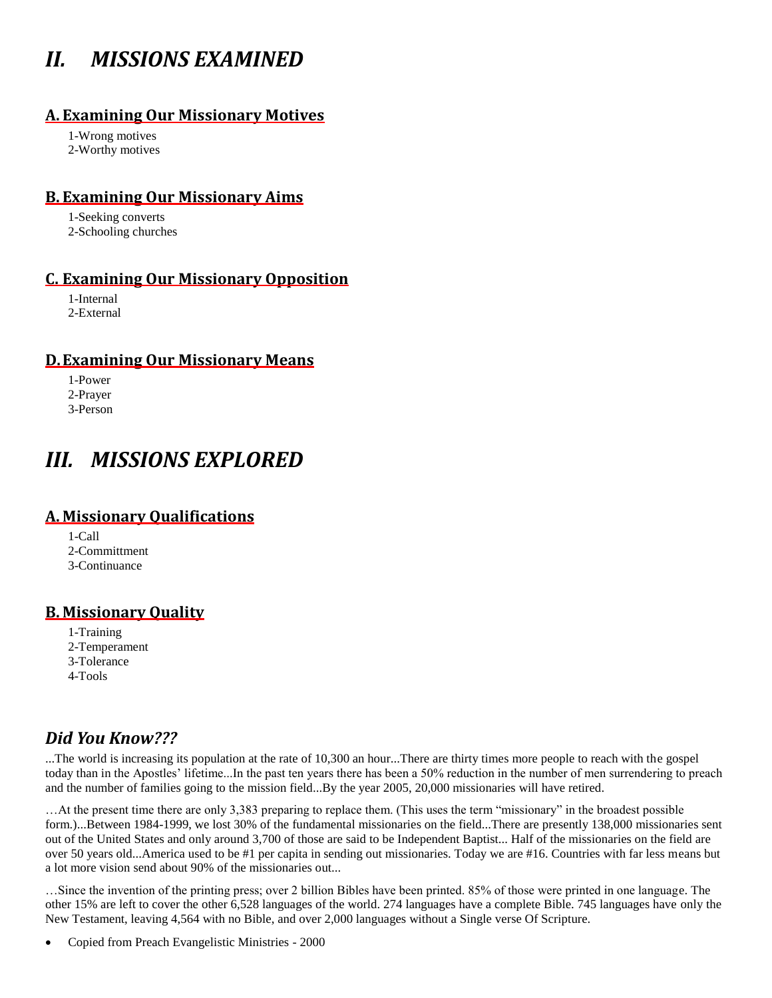# *II. MISSIONS EXAMINED*

#### **A. Examining Our Missionary Motives**

1-Wrong motives 2-Worthy motives

#### **B. Examining Our Missionary Aims**

1-Seeking converts 2-Schooling churches

#### **C. Examining Our Missionary Opposition**

1-Internal 2-External

#### **D.Examining Our Missionary Means**

1-Power 2-Prayer 3-Person

# *III. MISSIONS EXPLORED*

#### **A. Missionary Qualifications**

1-Call 2-Committment 3-Continuance

#### **B. Missionary Quality**

1-Training 2-Temperament 3-Tolerance 4-Tools

## *Did You Know???*

...The world is increasing its population at the rate of 10,300 an hour...There are thirty times more people to reach with the gospel today than in the Apostles' lifetime...In the past ten years there has been a 50% reduction in the number of men surrendering to preach and the number of families going to the mission field...By the year 2005, 20,000 missionaries will have retired.

…At the present time there are only 3,383 preparing to replace them. (This uses the term "missionary" in the broadest possible form.)...Between 1984-1999, we lost 30% of the fundamental missionaries on the field...There are presently 138,000 missionaries sent out of the United States and only around 3,700 of those are said to be Independent Baptist... Half of the missionaries on the field are over 50 years old...America used to be #1 per capita in sending out missionaries. Today we are #16. Countries with far less means but a lot more vision send about 90% of the missionaries out...

…Since the invention of the printing press; over 2 billion Bibles have been printed. 85% of those were printed in one language. The other 15% are left to cover the other 6,528 languages of the world. 274 languages have a complete Bible. 745 languages have only the New Testament, leaving 4,564 with no Bible, and over 2,000 languages without a Single verse Of Scripture.

Copied from Preach Evangelistic Ministries - 2000